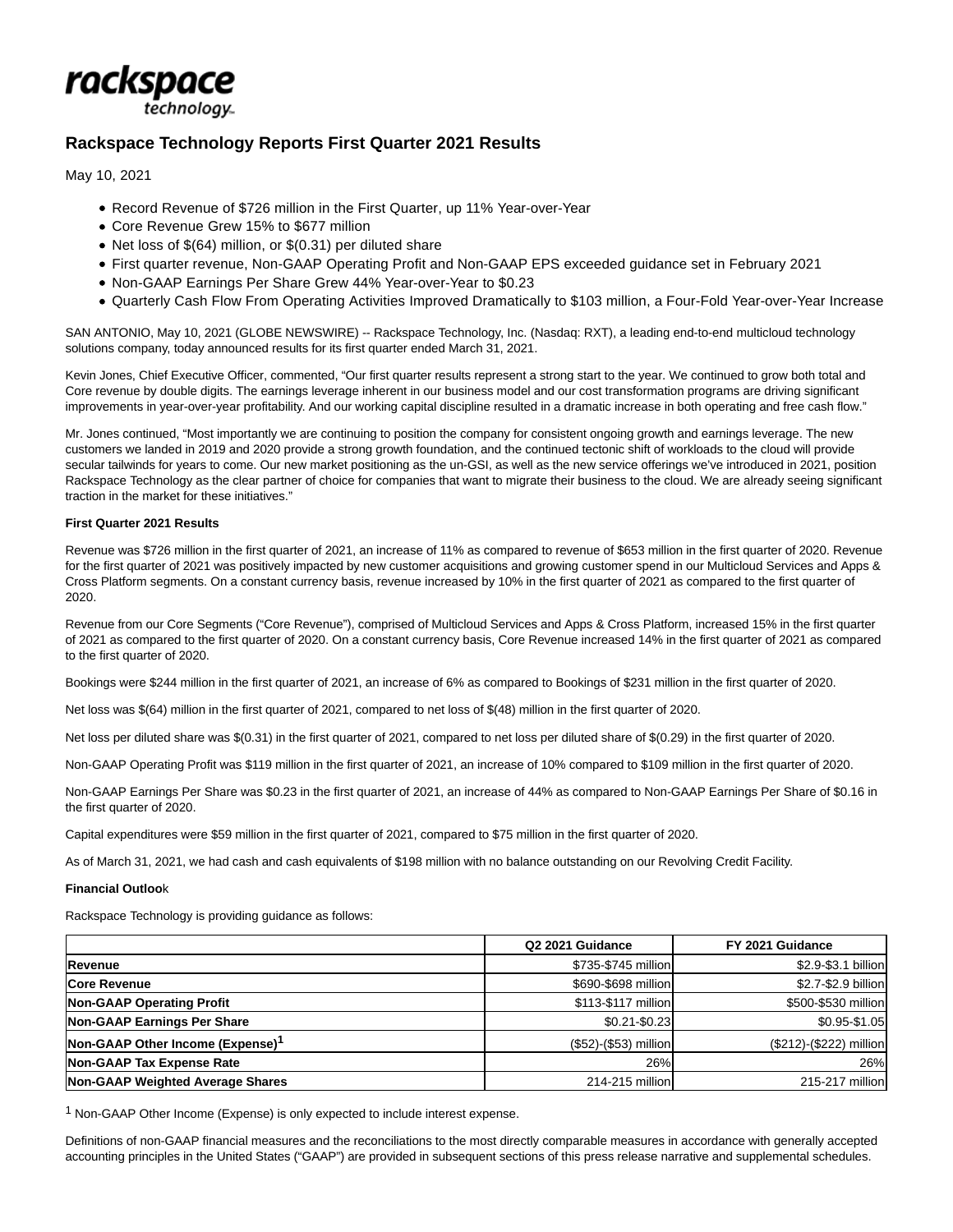

# **Rackspace Technology Reports First Quarter 2021 Results**

May 10, 2021

- Record Revenue of \$726 million in the First Quarter, up 11% Year-over-Year
- Core Revenue Grew 15% to \$677 million
- Net loss of \$(64) million, or \$(0.31) per diluted share
- First quarter revenue, Non-GAAP Operating Profit and Non-GAAP EPS exceeded guidance set in February 2021
- Non-GAAP Earnings Per Share Grew 44% Year-over-Year to \$0.23
- Quarterly Cash Flow From Operating Activities Improved Dramatically to \$103 million, a Four-Fold Year-over-Year Increase

SAN ANTONIO, May 10, 2021 (GLOBE NEWSWIRE) -- Rackspace Technology, Inc. (Nasdaq: RXT), a leading end-to-end multicloud technology solutions company, today announced results for its first quarter ended March 31, 2021.

Kevin Jones, Chief Executive Officer, commented, "Our first quarter results represent a strong start to the year. We continued to grow both total and Core revenue by double digits. The earnings leverage inherent in our business model and our cost transformation programs are driving significant improvements in year-over-year profitability. And our working capital discipline resulted in a dramatic increase in both operating and free cash flow."

Mr. Jones continued, "Most importantly we are continuing to position the company for consistent ongoing growth and earnings leverage. The new customers we landed in 2019 and 2020 provide a strong growth foundation, and the continued tectonic shift of workloads to the cloud will provide secular tailwinds for years to come. Our new market positioning as the un-GSI, as well as the new service offerings we've introduced in 2021, position Rackspace Technology as the clear partner of choice for companies that want to migrate their business to the cloud. We are already seeing significant traction in the market for these initiatives."

## **First Quarter 2021 Results**

Revenue was \$726 million in the first quarter of 2021, an increase of 11% as compared to revenue of \$653 million in the first quarter of 2020. Revenue for the first quarter of 2021 was positively impacted by new customer acquisitions and growing customer spend in our Multicloud Services and Apps & Cross Platform segments. On a constant currency basis, revenue increased by 10% in the first quarter of 2021 as compared to the first quarter of 2020.

Revenue from our Core Segments ("Core Revenue"), comprised of Multicloud Services and Apps & Cross Platform, increased 15% in the first quarter of 2021 as compared to the first quarter of 2020. On a constant currency basis, Core Revenue increased 14% in the first quarter of 2021 as compared to the first quarter of 2020.

Bookings were \$244 million in the first quarter of 2021, an increase of 6% as compared to Bookings of \$231 million in the first quarter of 2020.

Net loss was \$(64) million in the first quarter of 2021, compared to net loss of \$(48) million in the first quarter of 2020.

Net loss per diluted share was \$(0.31) in the first quarter of 2021, compared to net loss per diluted share of \$(0.29) in the first quarter of 2020.

Non-GAAP Operating Profit was \$119 million in the first quarter of 2021, an increase of 10% compared to \$109 million in the first quarter of 2020.

Non-GAAP Earnings Per Share was \$0.23 in the first quarter of 2021, an increase of 44% as compared to Non-GAAP Earnings Per Share of \$0.16 in the first quarter of 2020.

Capital expenditures were \$59 million in the first quarter of 2021, compared to \$75 million in the first quarter of 2020.

As of March 31, 2021, we had cash and cash equivalents of \$198 million with no balance outstanding on our Revolving Credit Facility.

#### **Financial Outloo**k

Rackspace Technology is providing guidance as follows:

|                                              | Q2 2021 Guidance      | FY 2021 Guidance        |
|----------------------------------------------|-----------------------|-------------------------|
| Revenue                                      | \$735-\$745 million   | \$2.9-\$3.1 billion     |
| <b>Core Revenue</b>                          | \$690-\$698 million   | \$2.7-\$2.9 billion     |
| <b>Non-GAAP Operating Profit</b>             | \$113-\$117 million   | \$500-\$530 million     |
| <b>Non-GAAP Earnings Per Share</b>           | \$0.21-\$0.23         | \$0.95-\$1.05           |
| Non-GAAP Other Income (Expense) <sup>1</sup> | (\$52)-(\$53) million | (\$212)-(\$222) million |
| <b>Non-GAAP Tax Expense Rate</b>             | 26%                   | 26%                     |
| Non-GAAP Weighted Average Shares             | 214-215 million       | 215-217 million         |

1 Non-GAAP Other Income (Expense) is only expected to include interest expense.

Definitions of non-GAAP financial measures and the reconciliations to the most directly comparable measures in accordance with generally accepted accounting principles in the United States ("GAAP") are provided in subsequent sections of this press release narrative and supplemental schedules.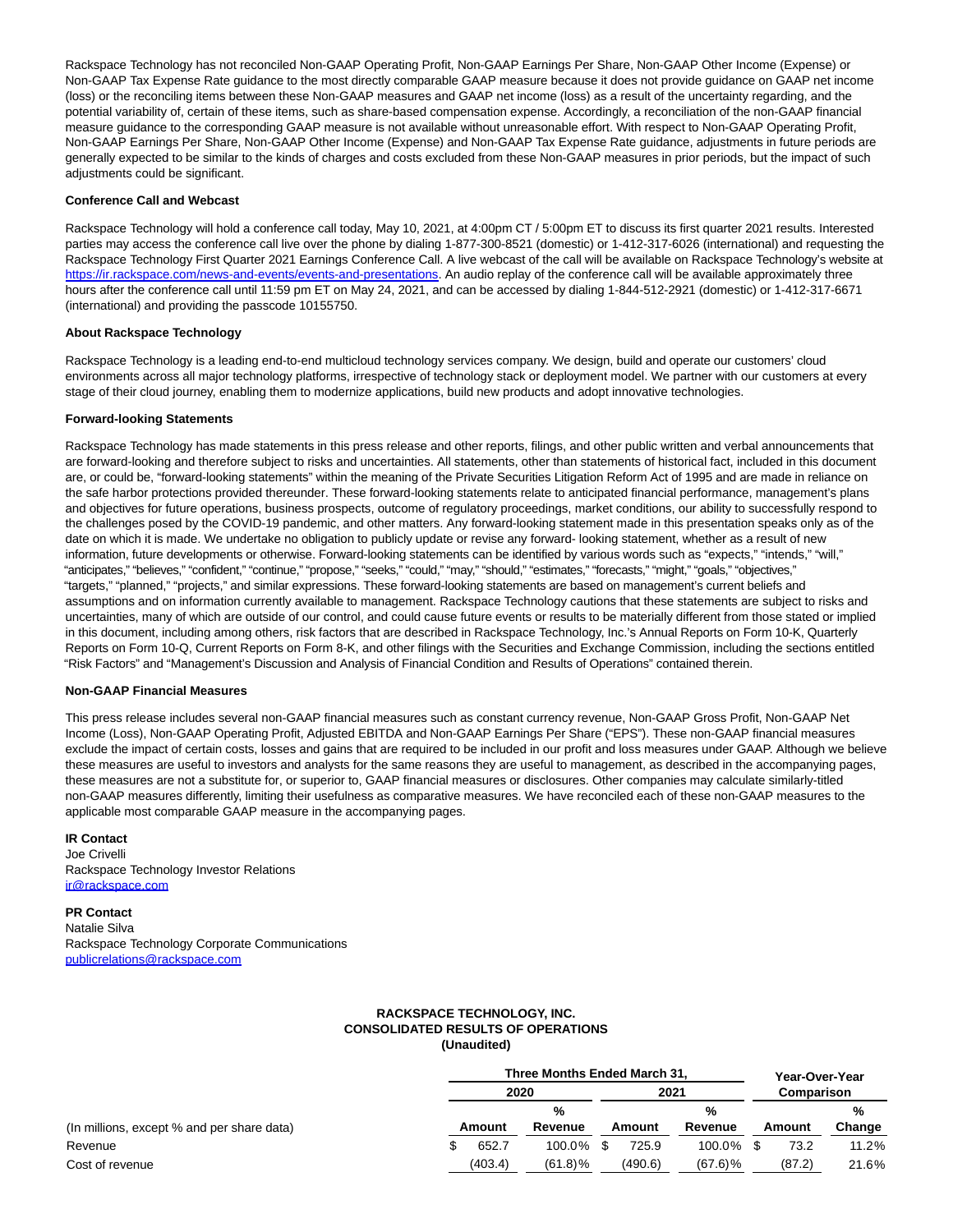Rackspace Technology has not reconciled Non-GAAP Operating Profit, Non-GAAP Earnings Per Share, Non-GAAP Other Income (Expense) or Non-GAAP Tax Expense Rate guidance to the most directly comparable GAAP measure because it does not provide guidance on GAAP net income (loss) or the reconciling items between these Non-GAAP measures and GAAP net income (loss) as a result of the uncertainty regarding, and the potential variability of, certain of these items, such as share-based compensation expense. Accordingly, a reconciliation of the non-GAAP financial measure guidance to the corresponding GAAP measure is not available without unreasonable effort. With respect to Non-GAAP Operating Profit, Non-GAAP Earnings Per Share, Non-GAAP Other Income (Expense) and Non-GAAP Tax Expense Rate guidance, adjustments in future periods are generally expected to be similar to the kinds of charges and costs excluded from these Non-GAAP measures in prior periods, but the impact of such adjustments could be significant.

# **Conference Call and Webcast**

Rackspace Technology will hold a conference call today, May 10, 2021, at 4:00pm CT / 5:00pm ET to discuss its first quarter 2021 results. Interested parties may access the conference call live over the phone by dialing 1-877-300-8521 (domestic) or 1-412-317-6026 (international) and requesting the Rackspace Technology First Quarter 2021 Earnings Conference Call. A live webcast of the call will be available on Rackspace Technology's website at [https://ir.rackspace.com/news-and-events/events-and-presentations.](https://www.globenewswire.com/Tracker?data=CENpbR_7tRoyd2_f7ePT1IX8dLv7EXWtvcH2mpPUkRmf8B_zojrWuSz8ylN7mxEjo-rZstODg52RFQkK7ZY84DwfGcYEWss2leYhIcWqyvhVti04phdXZ6mQRZBE4yPfD5FlP_cRaJyb8Y70ejh1MUs8wKsFTPElsOTJAconGAwXukTeK_Ni7HOf2Zik9qJOkIizmNugNz4wP_6RpzSxyw==) An audio replay of the conference call will be available approximately three hours after the conference call until 11:59 pm ET on May 24, 2021, and can be accessed by dialing 1-844-512-2921 (domestic) or 1-412-317-6671 (international) and providing the passcode 10155750.

## **About Rackspace Technology**

Rackspace Technology is a leading end-to-end multicloud technology services company. We design, build and operate our customers' cloud environments across all major technology platforms, irrespective of technology stack or deployment model. We partner with our customers at every stage of their cloud journey, enabling them to modernize applications, build new products and adopt innovative technologies.

# **Forward-looking Statements**

Rackspace Technology has made statements in this press release and other reports, filings, and other public written and verbal announcements that are forward-looking and therefore subject to risks and uncertainties. All statements, other than statements of historical fact, included in this document are, or could be, "forward-looking statements" within the meaning of the Private Securities Litigation Reform Act of 1995 and are made in reliance on the safe harbor protections provided thereunder. These forward-looking statements relate to anticipated financial performance, management's plans and objectives for future operations, business prospects, outcome of regulatory proceedings, market conditions, our ability to successfully respond to the challenges posed by the COVID-19 pandemic, and other matters. Any forward-looking statement made in this presentation speaks only as of the date on which it is made. We undertake no obligation to publicly update or revise any forward- looking statement, whether as a result of new information, future developments or otherwise. Forward-looking statements can be identified by various words such as "expects," "intends," "will," "anticipates," "believes," "confident," "continue," "propose," "seeks," "could," "may," "should," "estimates," "forecasts," "might," "goals," "objectives," "targets," "planned," "projects," and similar expressions. These forward-looking statements are based on management's current beliefs and assumptions and on information currently available to management. Rackspace Technology cautions that these statements are subject to risks and uncertainties, many of which are outside of our control, and could cause future events or results to be materially different from those stated or implied in this document, including among others, risk factors that are described in Rackspace Technology, Inc.'s Annual Reports on Form 10-K, Quarterly Reports on Form 10-Q, Current Reports on Form 8-K, and other filings with the Securities and Exchange Commission, including the sections entitled "Risk Factors" and "Management's Discussion and Analysis of Financial Condition and Results of Operations" contained therein.

# **Non-GAAP Financial Measures**

This press release includes several non-GAAP financial measures such as constant currency revenue, Non-GAAP Gross Profit, Non-GAAP Net Income (Loss), Non-GAAP Operating Profit, Adjusted EBITDA and Non-GAAP Earnings Per Share ("EPS"). These non-GAAP financial measures exclude the impact of certain costs, losses and gains that are required to be included in our profit and loss measures under GAAP. Although we believe these measures are useful to investors and analysts for the same reasons they are useful to management, as described in the accompanying pages, these measures are not a substitute for, or superior to, GAAP financial measures or disclosures. Other companies may calculate similarly-titled non-GAAP measures differently, limiting their usefulness as comparative measures. We have reconciled each of these non-GAAP measures to the applicable most comparable GAAP measure in the accompanying pages.

# **IR Contact**

Joe Crivelli Rackspace Technology Investor Relations [ir@rackspace.com](https://www.globenewswire.com/Tracker?data=khjqlY6yRDwcdmPF7kDIaccVQBHu4YCzpa94sfaJ9q2zHTdpdprHBPgIEly7Z48lisyo3zFCpaXtAesjybjf8A==)

**PR Contact**

Natalie Silva Rackspace Technology Corporate Communications [publicrelations@rackspace.com](https://www.globenewswire.com/Tracker?data=E1YMafnvy_PncWSzhPNNqu2Fdoy4Fbqn9AWwdJf-eDOQXF2paTxzRamAiBoQBIofjaRTWnQ9Afa-01W2zlHRlDncXK1z17P19ykDnh7raIwqLUphAwFnzE-O5SzMny4P)

#### **RACKSPACE TECHNOLOGY, INC. CONSOLIDATED RESULTS OF OPERATIONS (Unaudited)**

|                                            |  | Three Months Ended March 31, |            | Year-Over-Year<br>Comparison |         |            |      |        |        |  |
|--------------------------------------------|--|------------------------------|------------|------------------------------|---------|------------|------|--------|--------|--|
|                                            |  | 2020                         |            |                              |         |            | 2021 |        |        |  |
|                                            |  |                              | %          |                              |         | %          |      |        | %      |  |
| (In millions, except % and per share data) |  | Amount                       |            | Amount                       |         | Revenue    |      | Amount | Change |  |
| Revenue                                    |  | 652.7                        | 100.0%     |                              | 725.9   | 100.0%     |      | 73.2   | 11.2%  |  |
| Cost of revenue                            |  | (403.4)                      | $(61.8)\%$ |                              | (490.6) | $(67.6)$ % |      | (87.2) | 21.6%  |  |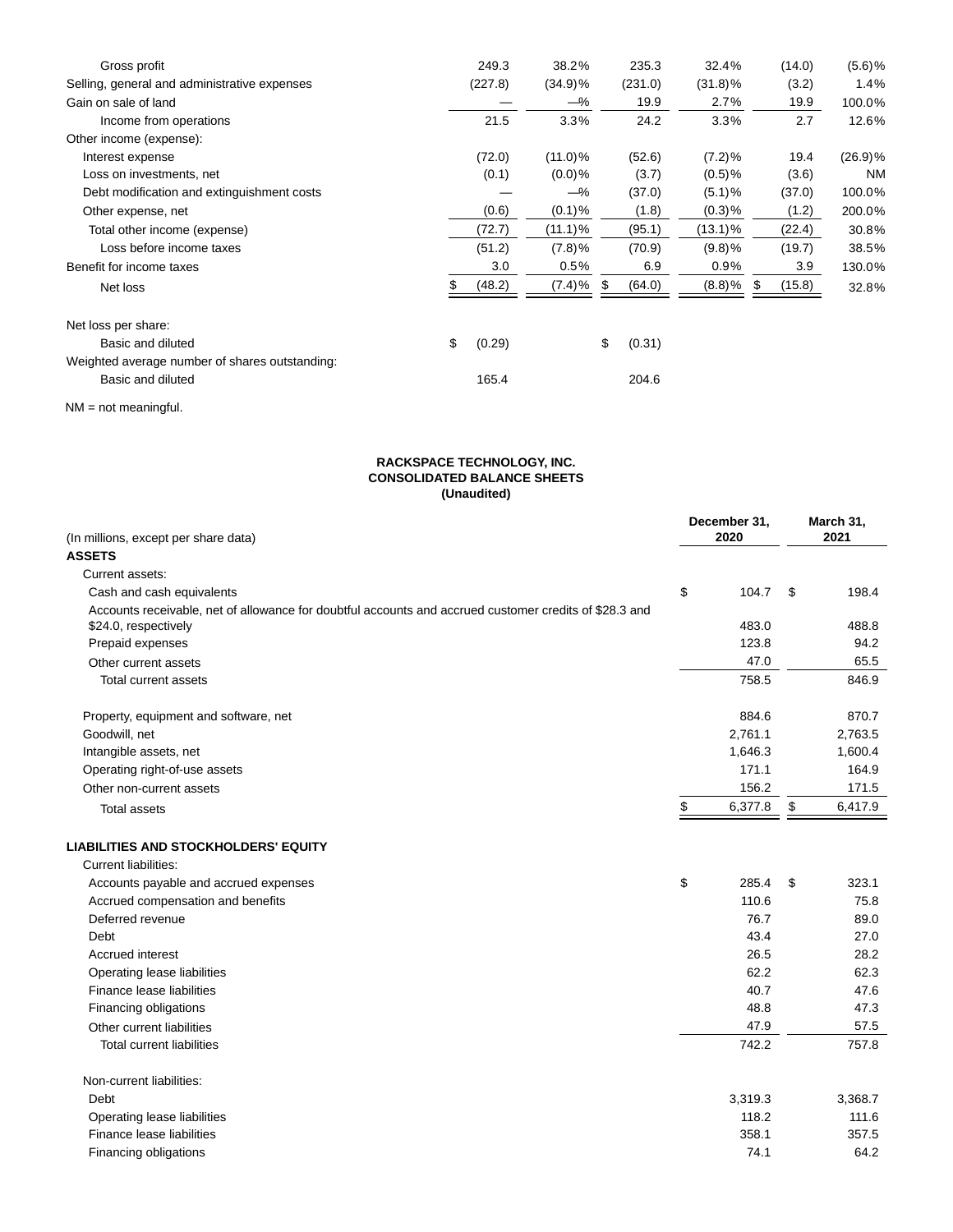| Gross profit                                   | 249.3        | 38.2%      | 235.3        | 32.4%      | (14.0)       | $(5.6)$ % |
|------------------------------------------------|--------------|------------|--------------|------------|--------------|-----------|
| Selling, general and administrative expenses   | (227.8)      | $(34.9)\%$ | (231.0)      | $(31.8)\%$ | (3.2)        | 1.4%      |
| Gain on sale of land                           |              | $-\%$      | 19.9         | 2.7%       | 19.9         | 100.0%    |
| Income from operations                         | 21.5         | 3.3%       | 24.2         | 3.3%       | 2.7          | 12.6%     |
| Other income (expense):                        |              |            |              |            |              |           |
| Interest expense                               | (72.0)       | $(11.0)\%$ | (52.6)       | $(7.2)\%$  | 19.4         | (26.9)%   |
| Loss on investments, net                       | (0.1)        | $(0.0)$ %  | (3.7)        | $(0.5)$ %  | (3.6)        | <b>NM</b> |
| Debt modification and extinguishment costs     |              | $-\%$      | (37.0)       | (5.1)%     | (37.0)       | 100.0%    |
| Other expense, net                             | (0.6)        | $(0.1)$ %  | (1.8)        | (0.3)%     | (1.2)        | 200.0%    |
| Total other income (expense)                   | (72.7)       | $(11.1)\%$ | (95.1)       | (13.1)%    | (22.4)       | 30.8%     |
| Loss before income taxes                       | (51.2)       | (7.8)%     | (70.9)       | (9.8)%     | (19.7)       | 38.5%     |
| Benefit for income taxes                       | 3.0          | 0.5%       | 6.9          | $0.9\%$    | 3.9          | 130.0%    |
| Net loss                                       | (48.2)       | (7.4)%     | \$<br>(64.0) | $(8.8)$ %  | \$<br>(15.8) | 32.8%     |
| Net loss per share:                            |              |            |              |            |              |           |
| Basic and diluted                              | \$<br>(0.29) |            | \$<br>(0.31) |            |              |           |
| Weighted average number of shares outstanding: |              |            |              |            |              |           |
| Basic and diluted                              | 165.4        |            | 204.6        |            |              |           |

NM = not meaningful.

#### **RACKSPACE TECHNOLOGY, INC. CONSOLIDATED BALANCE SHEETS (Unaudited)**

| (In millions, except per share data)                                                                   |    | December 31,<br>2020 |     | March 31,<br>2021 |  |
|--------------------------------------------------------------------------------------------------------|----|----------------------|-----|-------------------|--|
| <b>ASSETS</b>                                                                                          |    |                      |     |                   |  |
| Current assets:                                                                                        |    |                      |     |                   |  |
| Cash and cash equivalents                                                                              | \$ | 104.7                | -\$ | 198.4             |  |
| Accounts receivable, net of allowance for doubtful accounts and accrued customer credits of \$28.3 and |    |                      |     |                   |  |
| \$24.0, respectively                                                                                   |    | 483.0                |     | 488.8             |  |
| Prepaid expenses                                                                                       |    | 123.8                |     | 94.2              |  |
| Other current assets                                                                                   |    | 47.0                 |     | 65.5              |  |
| Total current assets                                                                                   |    | 758.5                |     | 846.9             |  |
| Property, equipment and software, net                                                                  |    | 884.6                |     | 870.7             |  |
| Goodwill, net                                                                                          |    | 2,761.1              |     | 2,763.5           |  |
| Intangible assets, net                                                                                 |    | 1,646.3              |     | 1,600.4           |  |
| Operating right-of-use assets                                                                          |    | 171.1                |     | 164.9             |  |
| Other non-current assets                                                                               |    | 156.2                |     | 171.5             |  |
| <b>Total assets</b>                                                                                    | \$ | 6,377.8              | \$  | 6,417.9           |  |
| <b>LIABILITIES AND STOCKHOLDERS' EQUITY</b>                                                            |    |                      |     |                   |  |
| <b>Current liabilities:</b>                                                                            |    |                      |     |                   |  |
| Accounts payable and accrued expenses                                                                  | \$ | 285.4                | \$  | 323.1             |  |
| Accrued compensation and benefits                                                                      |    | 110.6                |     | 75.8              |  |
| Deferred revenue                                                                                       |    | 76.7                 |     | 89.0              |  |
| Debt                                                                                                   |    | 43.4                 |     | 27.0              |  |
| Accrued interest                                                                                       |    | 26.5                 |     | 28.2              |  |
| Operating lease liabilities                                                                            |    | 62.2                 |     | 62.3              |  |
| Finance lease liabilities                                                                              |    | 40.7                 |     | 47.6              |  |
| Financing obligations                                                                                  |    | 48.8                 |     | 47.3              |  |
| Other current liabilities                                                                              |    | 47.9                 |     | 57.5              |  |
| <b>Total current liabilities</b>                                                                       |    | 742.2                |     | 757.8             |  |
| Non-current liabilities:                                                                               |    |                      |     |                   |  |
| Debt                                                                                                   |    | 3,319.3              |     | 3,368.7           |  |
| Operating lease liabilities                                                                            |    | 118.2                |     | 111.6             |  |
| Finance lease liabilities                                                                              |    | 358.1                |     | 357.5             |  |
| Financing obligations                                                                                  |    | 74.1                 |     | 64.2              |  |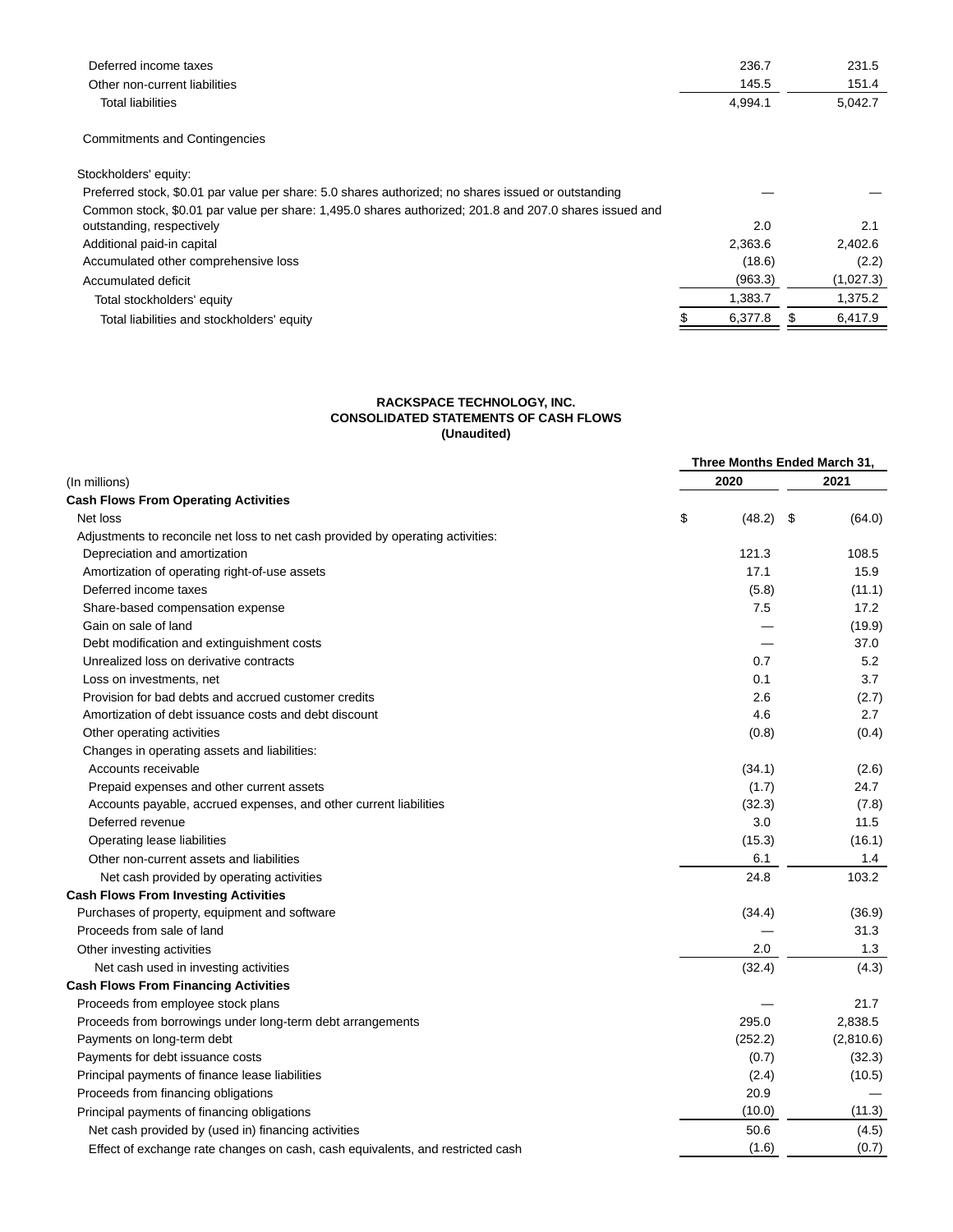| Deferred income taxes                                                                                  | 236.7   | 231.5     |
|--------------------------------------------------------------------------------------------------------|---------|-----------|
| Other non-current liabilities                                                                          | 145.5   | 151.4     |
| <b>Total liabilities</b>                                                                               | 4,994.1 | 5,042.7   |
| <b>Commitments and Contingencies</b>                                                                   |         |           |
| Stockholders' equity:                                                                                  |         |           |
| Preferred stock, \$0.01 par value per share: 5.0 shares authorized; no shares issued or outstanding    |         |           |
| Common stock, \$0.01 par value per share: 1,495.0 shares authorized; 201.8 and 207.0 shares issued and |         |           |
| outstanding, respectively                                                                              | 2.0     | 2.1       |
| Additional paid-in capital                                                                             | 2,363.6 | 2,402.6   |
| Accumulated other comprehensive loss                                                                   | (18.6)  | (2.2)     |
| Accumulated deficit                                                                                    | (963.3) | (1,027.3) |
| Total stockholders' equity                                                                             | 1,383.7 | 1,375.2   |
| Total liabilities and stockholders' equity                                                             | 6.377.8 | 6.417.9   |

# **RACKSPACE TECHNOLOGY, INC. CONSOLIDATED STATEMENTS OF CASH FLOWS (Unaudited)**

| 2020<br>2021<br>(In millions)<br>\$<br>Net loss<br>$(48.2)$ \$<br>(64.0)<br>Adjustments to reconcile net loss to net cash provided by operating activities:<br>121.3<br>108.5<br>Depreciation and amortization<br>17.1<br>Amortization of operating right-of-use assets<br>15.9<br>Deferred income taxes<br>(5.8)<br>(11.1)<br>Share-based compensation expense<br>7.5<br>17.2<br>Gain on sale of land<br>(19.9)<br>Debt modification and extinguishment costs<br>37.0<br>5.2<br>Unrealized loss on derivative contracts<br>0.7<br>0.1<br>3.7<br>Loss on investments, net<br>Provision for bad debts and accrued customer credits<br>2.6<br>(2.7)<br>Amortization of debt issuance costs and debt discount<br>4.6<br>2.7<br>Other operating activities<br>(0.8)<br>(0.4)<br>Changes in operating assets and liabilities:<br>Accounts receivable<br>(34.1)<br>(2.6)<br>(1.7)<br>24.7<br>Prepaid expenses and other current assets<br>Accounts payable, accrued expenses, and other current liabilities<br>(32.3)<br>(7.8)<br>Deferred revenue<br>3.0<br>11.5<br>(15.3)<br>Operating lease liabilities<br>(16.1)<br>6.1<br>1.4<br>Other non-current assets and liabilities<br>103.2<br>24.8<br>Net cash provided by operating activities<br>Purchases of property, equipment and software<br>(34.4)<br>(36.9)<br>31.3<br>Proceeds from sale of land<br>2.0<br>1.3<br>Other investing activities<br>Net cash used in investing activities<br>(32.4)<br>(4.3)<br>Proceeds from employee stock plans<br>21.7<br>295.0<br>2,838.5<br>Proceeds from borrowings under long-term debt arrangements<br>(2,810.6)<br>Payments on long-term debt<br>(252.2)<br>(0.7)<br>Payments for debt issuance costs<br>(32.3)<br>Principal payments of finance lease liabilities<br>(2.4)<br>(10.5) |                                             |      | Three Months Ended March 31, |
|------------------------------------------------------------------------------------------------------------------------------------------------------------------------------------------------------------------------------------------------------------------------------------------------------------------------------------------------------------------------------------------------------------------------------------------------------------------------------------------------------------------------------------------------------------------------------------------------------------------------------------------------------------------------------------------------------------------------------------------------------------------------------------------------------------------------------------------------------------------------------------------------------------------------------------------------------------------------------------------------------------------------------------------------------------------------------------------------------------------------------------------------------------------------------------------------------------------------------------------------------------------------------------------------------------------------------------------------------------------------------------------------------------------------------------------------------------------------------------------------------------------------------------------------------------------------------------------------------------------------------------------------------------------------------------------------------------------------------------------------------------------------------|---------------------------------------------|------|------------------------------|
|                                                                                                                                                                                                                                                                                                                                                                                                                                                                                                                                                                                                                                                                                                                                                                                                                                                                                                                                                                                                                                                                                                                                                                                                                                                                                                                                                                                                                                                                                                                                                                                                                                                                                                                                                                              |                                             |      |                              |
|                                                                                                                                                                                                                                                                                                                                                                                                                                                                                                                                                                                                                                                                                                                                                                                                                                                                                                                                                                                                                                                                                                                                                                                                                                                                                                                                                                                                                                                                                                                                                                                                                                                                                                                                                                              | <b>Cash Flows From Operating Activities</b> |      |                              |
|                                                                                                                                                                                                                                                                                                                                                                                                                                                                                                                                                                                                                                                                                                                                                                                                                                                                                                                                                                                                                                                                                                                                                                                                                                                                                                                                                                                                                                                                                                                                                                                                                                                                                                                                                                              |                                             |      |                              |
|                                                                                                                                                                                                                                                                                                                                                                                                                                                                                                                                                                                                                                                                                                                                                                                                                                                                                                                                                                                                                                                                                                                                                                                                                                                                                                                                                                                                                                                                                                                                                                                                                                                                                                                                                                              |                                             |      |                              |
|                                                                                                                                                                                                                                                                                                                                                                                                                                                                                                                                                                                                                                                                                                                                                                                                                                                                                                                                                                                                                                                                                                                                                                                                                                                                                                                                                                                                                                                                                                                                                                                                                                                                                                                                                                              |                                             |      |                              |
|                                                                                                                                                                                                                                                                                                                                                                                                                                                                                                                                                                                                                                                                                                                                                                                                                                                                                                                                                                                                                                                                                                                                                                                                                                                                                                                                                                                                                                                                                                                                                                                                                                                                                                                                                                              |                                             |      |                              |
|                                                                                                                                                                                                                                                                                                                                                                                                                                                                                                                                                                                                                                                                                                                                                                                                                                                                                                                                                                                                                                                                                                                                                                                                                                                                                                                                                                                                                                                                                                                                                                                                                                                                                                                                                                              |                                             |      |                              |
|                                                                                                                                                                                                                                                                                                                                                                                                                                                                                                                                                                                                                                                                                                                                                                                                                                                                                                                                                                                                                                                                                                                                                                                                                                                                                                                                                                                                                                                                                                                                                                                                                                                                                                                                                                              |                                             |      |                              |
|                                                                                                                                                                                                                                                                                                                                                                                                                                                                                                                                                                                                                                                                                                                                                                                                                                                                                                                                                                                                                                                                                                                                                                                                                                                                                                                                                                                                                                                                                                                                                                                                                                                                                                                                                                              |                                             |      |                              |
|                                                                                                                                                                                                                                                                                                                                                                                                                                                                                                                                                                                                                                                                                                                                                                                                                                                                                                                                                                                                                                                                                                                                                                                                                                                                                                                                                                                                                                                                                                                                                                                                                                                                                                                                                                              |                                             |      |                              |
|                                                                                                                                                                                                                                                                                                                                                                                                                                                                                                                                                                                                                                                                                                                                                                                                                                                                                                                                                                                                                                                                                                                                                                                                                                                                                                                                                                                                                                                                                                                                                                                                                                                                                                                                                                              |                                             |      |                              |
|                                                                                                                                                                                                                                                                                                                                                                                                                                                                                                                                                                                                                                                                                                                                                                                                                                                                                                                                                                                                                                                                                                                                                                                                                                                                                                                                                                                                                                                                                                                                                                                                                                                                                                                                                                              |                                             |      |                              |
|                                                                                                                                                                                                                                                                                                                                                                                                                                                                                                                                                                                                                                                                                                                                                                                                                                                                                                                                                                                                                                                                                                                                                                                                                                                                                                                                                                                                                                                                                                                                                                                                                                                                                                                                                                              |                                             |      |                              |
|                                                                                                                                                                                                                                                                                                                                                                                                                                                                                                                                                                                                                                                                                                                                                                                                                                                                                                                                                                                                                                                                                                                                                                                                                                                                                                                                                                                                                                                                                                                                                                                                                                                                                                                                                                              |                                             |      |                              |
|                                                                                                                                                                                                                                                                                                                                                                                                                                                                                                                                                                                                                                                                                                                                                                                                                                                                                                                                                                                                                                                                                                                                                                                                                                                                                                                                                                                                                                                                                                                                                                                                                                                                                                                                                                              |                                             |      |                              |
|                                                                                                                                                                                                                                                                                                                                                                                                                                                                                                                                                                                                                                                                                                                                                                                                                                                                                                                                                                                                                                                                                                                                                                                                                                                                                                                                                                                                                                                                                                                                                                                                                                                                                                                                                                              |                                             |      |                              |
|                                                                                                                                                                                                                                                                                                                                                                                                                                                                                                                                                                                                                                                                                                                                                                                                                                                                                                                                                                                                                                                                                                                                                                                                                                                                                                                                                                                                                                                                                                                                                                                                                                                                                                                                                                              |                                             |      |                              |
|                                                                                                                                                                                                                                                                                                                                                                                                                                                                                                                                                                                                                                                                                                                                                                                                                                                                                                                                                                                                                                                                                                                                                                                                                                                                                                                                                                                                                                                                                                                                                                                                                                                                                                                                                                              |                                             |      |                              |
|                                                                                                                                                                                                                                                                                                                                                                                                                                                                                                                                                                                                                                                                                                                                                                                                                                                                                                                                                                                                                                                                                                                                                                                                                                                                                                                                                                                                                                                                                                                                                                                                                                                                                                                                                                              |                                             |      |                              |
|                                                                                                                                                                                                                                                                                                                                                                                                                                                                                                                                                                                                                                                                                                                                                                                                                                                                                                                                                                                                                                                                                                                                                                                                                                                                                                                                                                                                                                                                                                                                                                                                                                                                                                                                                                              |                                             |      |                              |
|                                                                                                                                                                                                                                                                                                                                                                                                                                                                                                                                                                                                                                                                                                                                                                                                                                                                                                                                                                                                                                                                                                                                                                                                                                                                                                                                                                                                                                                                                                                                                                                                                                                                                                                                                                              |                                             |      |                              |
|                                                                                                                                                                                                                                                                                                                                                                                                                                                                                                                                                                                                                                                                                                                                                                                                                                                                                                                                                                                                                                                                                                                                                                                                                                                                                                                                                                                                                                                                                                                                                                                                                                                                                                                                                                              |                                             |      |                              |
|                                                                                                                                                                                                                                                                                                                                                                                                                                                                                                                                                                                                                                                                                                                                                                                                                                                                                                                                                                                                                                                                                                                                                                                                                                                                                                                                                                                                                                                                                                                                                                                                                                                                                                                                                                              |                                             |      |                              |
|                                                                                                                                                                                                                                                                                                                                                                                                                                                                                                                                                                                                                                                                                                                                                                                                                                                                                                                                                                                                                                                                                                                                                                                                                                                                                                                                                                                                                                                                                                                                                                                                                                                                                                                                                                              | <b>Cash Flows From Investing Activities</b> |      |                              |
|                                                                                                                                                                                                                                                                                                                                                                                                                                                                                                                                                                                                                                                                                                                                                                                                                                                                                                                                                                                                                                                                                                                                                                                                                                                                                                                                                                                                                                                                                                                                                                                                                                                                                                                                                                              |                                             |      |                              |
|                                                                                                                                                                                                                                                                                                                                                                                                                                                                                                                                                                                                                                                                                                                                                                                                                                                                                                                                                                                                                                                                                                                                                                                                                                                                                                                                                                                                                                                                                                                                                                                                                                                                                                                                                                              |                                             |      |                              |
|                                                                                                                                                                                                                                                                                                                                                                                                                                                                                                                                                                                                                                                                                                                                                                                                                                                                                                                                                                                                                                                                                                                                                                                                                                                                                                                                                                                                                                                                                                                                                                                                                                                                                                                                                                              |                                             |      |                              |
|                                                                                                                                                                                                                                                                                                                                                                                                                                                                                                                                                                                                                                                                                                                                                                                                                                                                                                                                                                                                                                                                                                                                                                                                                                                                                                                                                                                                                                                                                                                                                                                                                                                                                                                                                                              |                                             |      |                              |
|                                                                                                                                                                                                                                                                                                                                                                                                                                                                                                                                                                                                                                                                                                                                                                                                                                                                                                                                                                                                                                                                                                                                                                                                                                                                                                                                                                                                                                                                                                                                                                                                                                                                                                                                                                              | <b>Cash Flows From Financing Activities</b> |      |                              |
|                                                                                                                                                                                                                                                                                                                                                                                                                                                                                                                                                                                                                                                                                                                                                                                                                                                                                                                                                                                                                                                                                                                                                                                                                                                                                                                                                                                                                                                                                                                                                                                                                                                                                                                                                                              |                                             |      |                              |
|                                                                                                                                                                                                                                                                                                                                                                                                                                                                                                                                                                                                                                                                                                                                                                                                                                                                                                                                                                                                                                                                                                                                                                                                                                                                                                                                                                                                                                                                                                                                                                                                                                                                                                                                                                              |                                             |      |                              |
|                                                                                                                                                                                                                                                                                                                                                                                                                                                                                                                                                                                                                                                                                                                                                                                                                                                                                                                                                                                                                                                                                                                                                                                                                                                                                                                                                                                                                                                                                                                                                                                                                                                                                                                                                                              |                                             |      |                              |
|                                                                                                                                                                                                                                                                                                                                                                                                                                                                                                                                                                                                                                                                                                                                                                                                                                                                                                                                                                                                                                                                                                                                                                                                                                                                                                                                                                                                                                                                                                                                                                                                                                                                                                                                                                              |                                             |      |                              |
|                                                                                                                                                                                                                                                                                                                                                                                                                                                                                                                                                                                                                                                                                                                                                                                                                                                                                                                                                                                                                                                                                                                                                                                                                                                                                                                                                                                                                                                                                                                                                                                                                                                                                                                                                                              |                                             |      |                              |
|                                                                                                                                                                                                                                                                                                                                                                                                                                                                                                                                                                                                                                                                                                                                                                                                                                                                                                                                                                                                                                                                                                                                                                                                                                                                                                                                                                                                                                                                                                                                                                                                                                                                                                                                                                              | Proceeds from financing obligations         | 20.9 |                              |
| (10.0)<br>(11.3)<br>Principal payments of financing obligations                                                                                                                                                                                                                                                                                                                                                                                                                                                                                                                                                                                                                                                                                                                                                                                                                                                                                                                                                                                                                                                                                                                                                                                                                                                                                                                                                                                                                                                                                                                                                                                                                                                                                                              |                                             |      |                              |
| Net cash provided by (used in) financing activities<br>50.6<br>(4.5)                                                                                                                                                                                                                                                                                                                                                                                                                                                                                                                                                                                                                                                                                                                                                                                                                                                                                                                                                                                                                                                                                                                                                                                                                                                                                                                                                                                                                                                                                                                                                                                                                                                                                                         |                                             |      |                              |
| (0.7)<br>(1.6)<br>Effect of exchange rate changes on cash, cash equivalents, and restricted cash                                                                                                                                                                                                                                                                                                                                                                                                                                                                                                                                                                                                                                                                                                                                                                                                                                                                                                                                                                                                                                                                                                                                                                                                                                                                                                                                                                                                                                                                                                                                                                                                                                                                             |                                             |      |                              |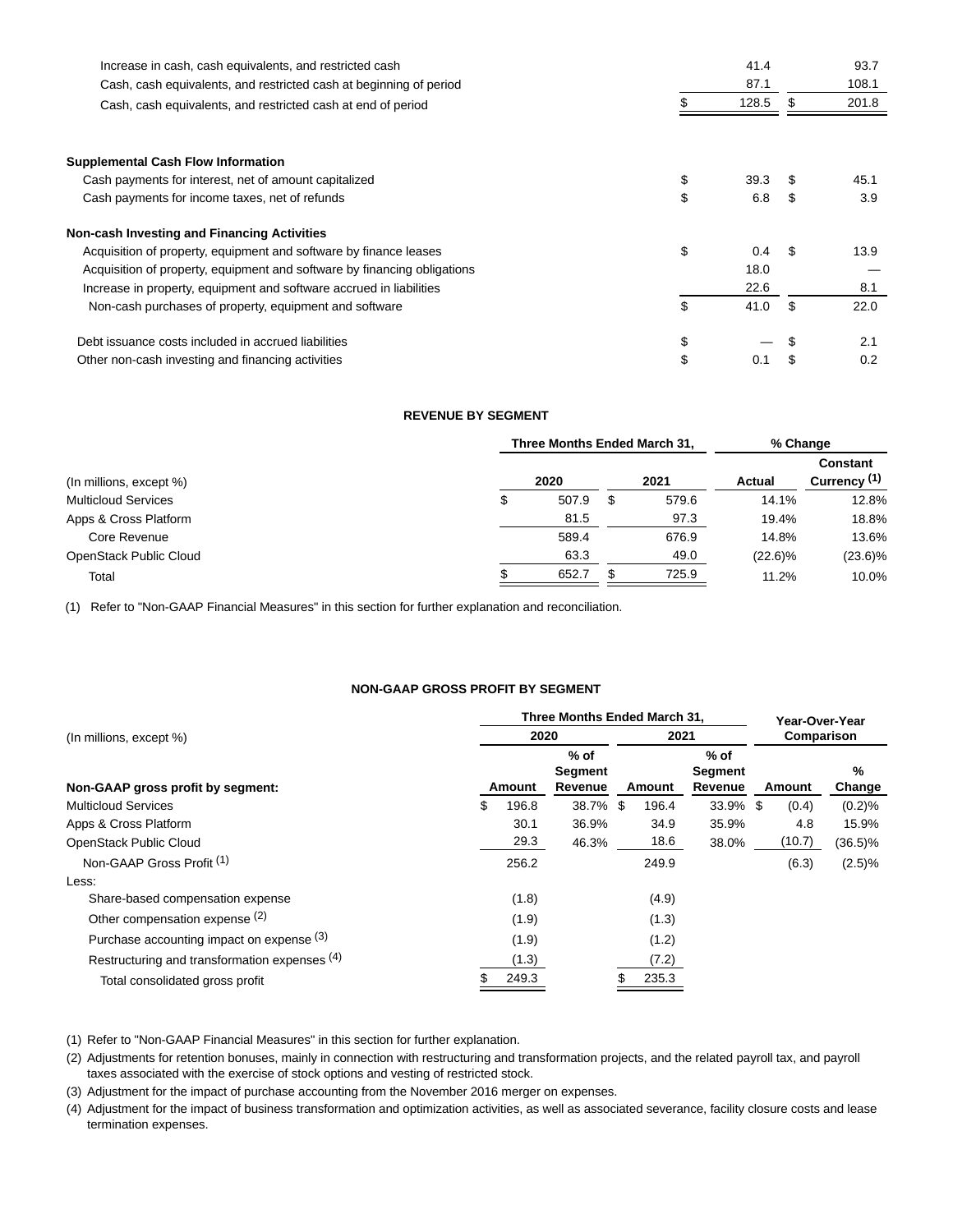| Increase in cash, cash equivalents, and restricted cash                  | 41.4       | 93.7       |
|--------------------------------------------------------------------------|------------|------------|
| Cash, cash equivalents, and restricted cash at beginning of period       | 87.1       | 108.1      |
| Cash, cash equivalents, and restricted cash at end of period             | 128.5      | 201.8      |
|                                                                          |            |            |
| <b>Supplemental Cash Flow Information</b>                                |            |            |
| Cash payments for interest, net of amount capitalized                    | \$<br>39.3 | 45.1       |
| Cash payments for income taxes, net of refunds                           | \$<br>6.8  | \$<br>3.9  |
| Non-cash Investing and Financing Activities                              |            |            |
| Acquisition of property, equipment and software by finance leases        | \$<br>0.4  | 13.9       |
| Acquisition of property, equipment and software by financing obligations | 18.0       |            |
| Increase in property, equipment and software accrued in liabilities      | 22.6       | 8.1        |
| Non-cash purchases of property, equipment and software                   | \$<br>41.0 | \$<br>22.0 |
| Debt issuance costs included in accrued liabilities                      | \$         | 2.1        |
| Other non-cash investing and financing activities                        | \$<br>0.1  | 0.2        |

# **REVENUE BY SEGMENT**

|                            |   | Three Months Ended March 31. | % Change |       |            |                                            |
|----------------------------|---|------------------------------|----------|-------|------------|--------------------------------------------|
| (In millions, except %)    |   | 2020                         |          | 2021  | Actual     | <b>Constant</b><br>Currency <sup>(1)</sup> |
| <b>Multicloud Services</b> | J | 507.9                        | S        | 579.6 | 14.1%      | 12.8%                                      |
| Apps & Cross Platform      |   | 81.5                         |          | 97.3  | 19.4%      | 18.8%                                      |
| Core Revenue               |   | 589.4                        |          | 676.9 | 14.8%      | 13.6%                                      |
| OpenStack Public Cloud     |   | 63.3                         |          | 49.0  | $(22.6)\%$ | $(23.6)\%$                                 |
| Total                      |   | 652.7                        |          | 725.9 | 11.2%      | 10.0%                                      |

(1) Refer to "Non-GAAP Financial Measures" in this section for further explanation and reconciliation.

# **NON-GAAP GROSS PROFIT BY SEGMENT**

|                                               | Three Months Ended March 31, | Year-Over-Year               |      |        |                              |     |            |             |
|-----------------------------------------------|------------------------------|------------------------------|------|--------|------------------------------|-----|------------|-------------|
| (In millions, except %)                       | 2020                         |                              |      | 2021   |                              |     | Comparison |             |
| Non-GAAP gross profit by segment:             | Amount                       | $%$ of<br>Segment<br>Revenue |      | Amount | $%$ of<br>Segment<br>Revenue |     | Amount     | %<br>Change |
| <b>Multicloud Services</b>                    | \$<br>196.8                  | 38.7%                        | - \$ | 196.4  | 33.9%                        | -\$ | (0.4)      | (0.2)%      |
| Apps & Cross Platform                         | 30.1                         | 36.9%                        |      | 34.9   | 35.9%                        |     | 4.8        | 15.9%       |
| OpenStack Public Cloud                        | 29.3                         | 46.3%                        |      | 18.6   | 38.0%                        |     | (10.7)     | $(36.5)\%$  |
| Non-GAAP Gross Profit <sup>(1)</sup>          | 256.2                        |                              |      | 249.9  |                              |     | (6.3)      | (2.5)%      |
| Less:                                         |                              |                              |      |        |                              |     |            |             |
| Share-based compensation expense              | (1.8)                        |                              |      | (4.9)  |                              |     |            |             |
| Other compensation expense (2)                | (1.9)                        |                              |      | (1.3)  |                              |     |            |             |
| Purchase accounting impact on expense (3)     | (1.9)                        |                              |      | (1.2)  |                              |     |            |             |
| Restructuring and transformation expenses (4) | (1.3)                        |                              |      | (7.2)  |                              |     |            |             |
| Total consolidated gross profit               | 249.3                        |                              |      | 235.3  |                              |     |            |             |

(1) Refer to "Non-GAAP Financial Measures" in this section for further explanation.

(2) Adjustments for retention bonuses, mainly in connection with restructuring and transformation projects, and the related payroll tax, and payroll taxes associated with the exercise of stock options and vesting of restricted stock.

(3) Adjustment for the impact of purchase accounting from the November 2016 merger on expenses.

(4) Adjustment for the impact of business transformation and optimization activities, as well as associated severance, facility closure costs and lease termination expenses.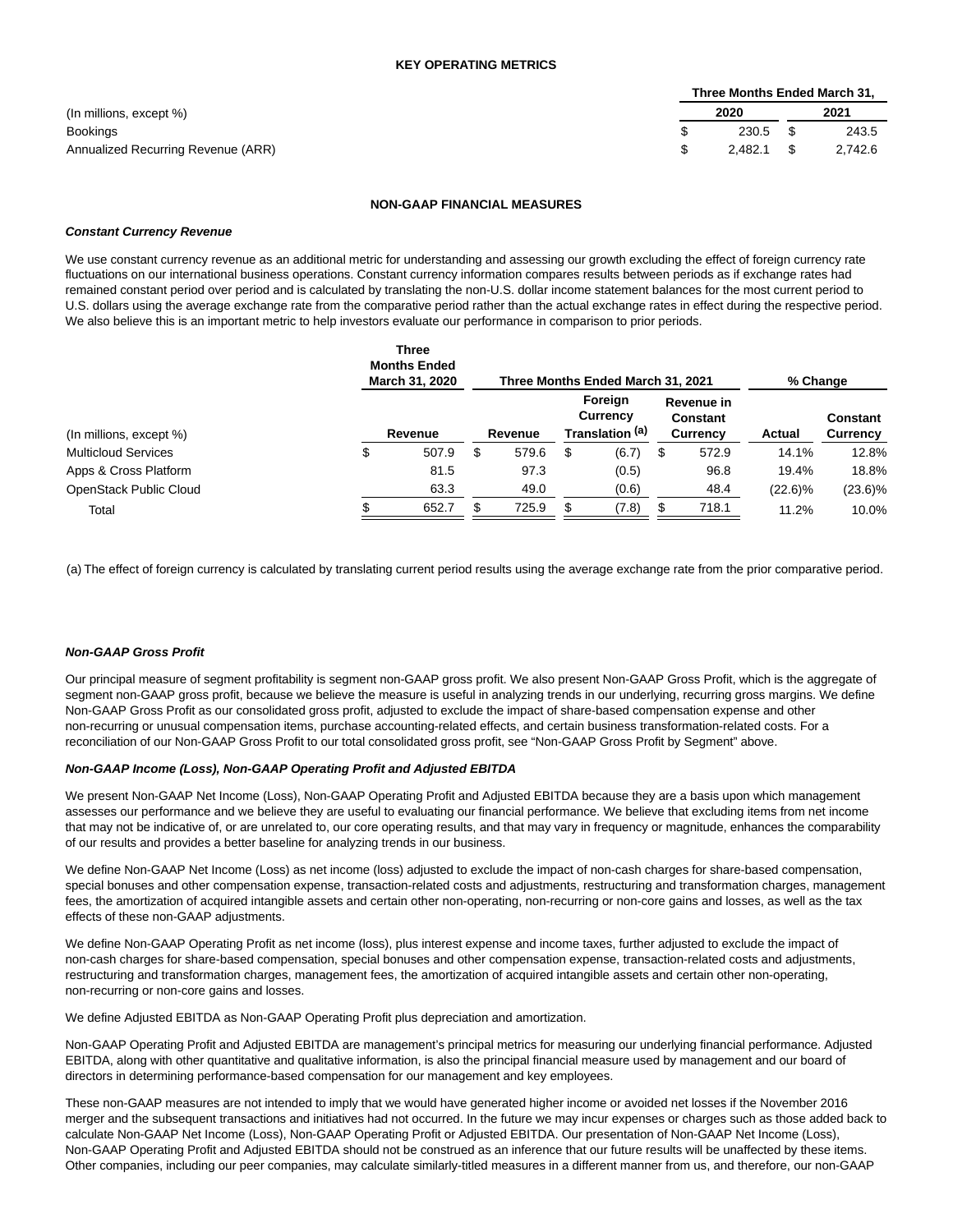|                                    | Three Months Ended March 31, |            |      |         |  |  |  |  |  |
|------------------------------------|------------------------------|------------|------|---------|--|--|--|--|--|
| (In millions, except %)            |                              | 2020       |      | 2021    |  |  |  |  |  |
| Bookings                           |                              | $230.5$ \$ |      | 243.5   |  |  |  |  |  |
| Annualized Recurring Revenue (ARR) |                              | 2.482.1    | - \$ | 2.742.6 |  |  |  |  |  |

#### **NON-GAAP FINANCIAL MEASURES**

#### **Constant Currency Revenue**

We use constant currency revenue as an additional metric for understanding and assessing our growth excluding the effect of foreign currency rate fluctuations on our international business operations. Constant currency information compares results between periods as if exchange rates had remained constant period over period and is calculated by translating the non-U.S. dollar income statement balances for the most current period to U.S. dollars using the average exchange rate from the comparative period rather than the actual exchange rates in effect during the respective period. We also believe this is an important metric to help investors evaluate our performance in comparison to prior periods.

|                            | <b>Three</b><br><b>Months Ended</b><br>March 31, 2020 | % Change |         |    |                                        |   |                                           |            |                      |
|----------------------------|-------------------------------------------------------|----------|---------|----|----------------------------------------|---|-------------------------------------------|------------|----------------------|
| (In millions, except %)    | Revenue                                               |          | Revenue |    | Foreign<br>Currency<br>Translation (a) |   | Revenue in<br><b>Constant</b><br>Currency | Actual     | Constant<br>Currency |
| <b>Multicloud Services</b> | \$<br>507.9                                           | S        | 579.6   | \$ | (6.7)                                  | S | 572.9                                     | 14.1%      | 12.8%                |
| Apps & Cross Platform      | 81.5                                                  |          | 97.3    |    | (0.5)                                  |   | 96.8                                      | 19.4%      | 18.8%                |
| OpenStack Public Cloud     | 63.3                                                  |          | 49.0    |    | (0.6)                                  |   | 48.4                                      | $(22.6)\%$ | $(23.6)\%$           |
| Total                      | 652.7                                                 |          | 725.9   | £. | (7.8)                                  |   | 718.1                                     | 11.2%      | 10.0%                |

(a) The effect of foreign currency is calculated by translating current period results using the average exchange rate from the prior comparative period.

## **Non-GAAP Gross Profit**

Our principal measure of segment profitability is segment non-GAAP gross profit. We also present Non-GAAP Gross Profit, which is the aggregate of segment non-GAAP gross profit, because we believe the measure is useful in analyzing trends in our underlying, recurring gross margins. We define Non-GAAP Gross Profit as our consolidated gross profit, adjusted to exclude the impact of share-based compensation expense and other non-recurring or unusual compensation items, purchase accounting-related effects, and certain business transformation-related costs. For a reconciliation of our Non-GAAP Gross Profit to our total consolidated gross profit, see "Non-GAAP Gross Profit by Segment" above.

#### **Non-GAAP Income (Loss), Non-GAAP Operating Profit and Adjusted EBITDA**

We present Non-GAAP Net Income (Loss), Non-GAAP Operating Profit and Adjusted EBITDA because they are a basis upon which management assesses our performance and we believe they are useful to evaluating our financial performance. We believe that excluding items from net income that may not be indicative of, or are unrelated to, our core operating results, and that may vary in frequency or magnitude, enhances the comparability of our results and provides a better baseline for analyzing trends in our business.

We define Non-GAAP Net Income (Loss) as net income (loss) adjusted to exclude the impact of non-cash charges for share-based compensation, special bonuses and other compensation expense, transaction-related costs and adjustments, restructuring and transformation charges, management fees, the amortization of acquired intangible assets and certain other non-operating, non-recurring or non-core gains and losses, as well as the tax effects of these non-GAAP adjustments.

We define Non-GAAP Operating Profit as net income (loss), plus interest expense and income taxes, further adjusted to exclude the impact of non-cash charges for share-based compensation, special bonuses and other compensation expense, transaction-related costs and adjustments, restructuring and transformation charges, management fees, the amortization of acquired intangible assets and certain other non-operating, non-recurring or non-core gains and losses.

We define Adjusted EBITDA as Non-GAAP Operating Profit plus depreciation and amortization.

Non-GAAP Operating Profit and Adjusted EBITDA are management's principal metrics for measuring our underlying financial performance. Adjusted EBITDA, along with other quantitative and qualitative information, is also the principal financial measure used by management and our board of directors in determining performance-based compensation for our management and key employees.

These non-GAAP measures are not intended to imply that we would have generated higher income or avoided net losses if the November 2016 merger and the subsequent transactions and initiatives had not occurred. In the future we may incur expenses or charges such as those added back to calculate Non-GAAP Net Income (Loss), Non-GAAP Operating Profit or Adjusted EBITDA. Our presentation of Non-GAAP Net Income (Loss), Non-GAAP Operating Profit and Adjusted EBITDA should not be construed as an inference that our future results will be unaffected by these items. Other companies, including our peer companies, may calculate similarly-titled measures in a different manner from us, and therefore, our non-GAAP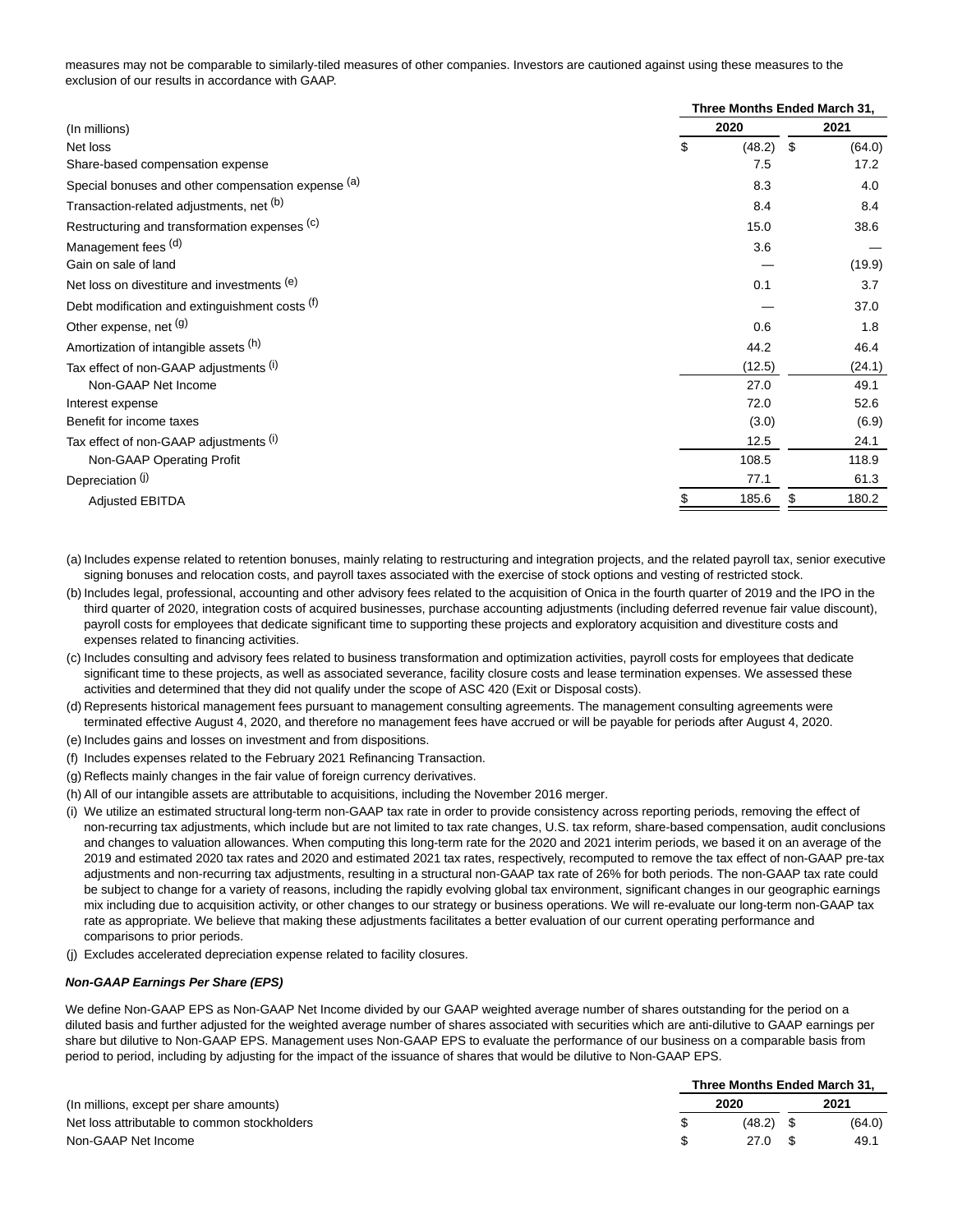measures may not be comparable to similarly-tiled measures of other companies. Investors are cautioned against using these measures to the exclusion of our results in accordance with GAAP.

|                                                    | Three Months Ended March 31, |               |  |  |  |  |  |
|----------------------------------------------------|------------------------------|---------------|--|--|--|--|--|
| (In millions)                                      | 2020                         | 2021          |  |  |  |  |  |
| Net loss                                           | \$<br>(48.2)                 | -\$<br>(64.0) |  |  |  |  |  |
| Share-based compensation expense                   | 7.5                          | 17.2          |  |  |  |  |  |
| Special bonuses and other compensation expense (a) | 8.3                          | 4.0           |  |  |  |  |  |
| Transaction-related adjustments, net (b)           | 8.4                          | 8.4           |  |  |  |  |  |
| Restructuring and transformation expenses (c)      | 15.0                         | 38.6          |  |  |  |  |  |
| Management fees (d)                                | 3.6                          |               |  |  |  |  |  |
| Gain on sale of land                               |                              | (19.9)        |  |  |  |  |  |
| Net loss on divestiture and investments (e)        | 0.1                          | 3.7           |  |  |  |  |  |
| Debt modification and extinguishment costs (f)     |                              | 37.0          |  |  |  |  |  |
| Other expense, net (g)                             | 0.6                          | 1.8           |  |  |  |  |  |
| Amortization of intangible assets (h)              | 44.2                         | 46.4          |  |  |  |  |  |
| Tax effect of non-GAAP adjustments (i)             | (12.5)                       | (24.1)        |  |  |  |  |  |
| Non-GAAP Net Income                                | 27.0                         | 49.1          |  |  |  |  |  |
| Interest expense                                   | 72.0                         | 52.6          |  |  |  |  |  |
| Benefit for income taxes                           | (3.0)                        | (6.9)         |  |  |  |  |  |
| Tax effect of non-GAAP adjustments (i)             | 12.5                         | 24.1          |  |  |  |  |  |
| Non-GAAP Operating Profit                          | 108.5                        | 118.9         |  |  |  |  |  |
| Depreciation (i)                                   | 77.1                         | 61.3          |  |  |  |  |  |
| <b>Adjusted EBITDA</b>                             | 185.6<br>S                   | 180.2<br>\$   |  |  |  |  |  |

(a) Includes expense related to retention bonuses, mainly relating to restructuring and integration projects, and the related payroll tax, senior executive signing bonuses and relocation costs, and payroll taxes associated with the exercise of stock options and vesting of restricted stock.

- (b) Includes legal, professional, accounting and other advisory fees related to the acquisition of Onica in the fourth quarter of 2019 and the IPO in the third quarter of 2020, integration costs of acquired businesses, purchase accounting adjustments (including deferred revenue fair value discount), payroll costs for employees that dedicate significant time to supporting these projects and exploratory acquisition and divestiture costs and expenses related to financing activities.
- (c) Includes consulting and advisory fees related to business transformation and optimization activities, payroll costs for employees that dedicate significant time to these projects, as well as associated severance, facility closure costs and lease termination expenses. We assessed these activities and determined that they did not qualify under the scope of ASC 420 (Exit or Disposal costs).
- (d) Represents historical management fees pursuant to management consulting agreements. The management consulting agreements were terminated effective August 4, 2020, and therefore no management fees have accrued or will be payable for periods after August 4, 2020.
- (e) Includes gains and losses on investment and from dispositions.
- (f) Includes expenses related to the February 2021 Refinancing Transaction.
- (g) Reflects mainly changes in the fair value of foreign currency derivatives.
- (h) All of our intangible assets are attributable to acquisitions, including the November 2016 merger.
- (i) We utilize an estimated structural long-term non-GAAP tax rate in order to provide consistency across reporting periods, removing the effect of non-recurring tax adjustments, which include but are not limited to tax rate changes, U.S. tax reform, share-based compensation, audit conclusions and changes to valuation allowances. When computing this long-term rate for the 2020 and 2021 interim periods, we based it on an average of the 2019 and estimated 2020 tax rates and 2020 and estimated 2021 tax rates, respectively, recomputed to remove the tax effect of non-GAAP pre-tax adjustments and non-recurring tax adjustments, resulting in a structural non-GAAP tax rate of 26% for both periods. The non-GAAP tax rate could be subject to change for a variety of reasons, including the rapidly evolving global tax environment, significant changes in our geographic earnings mix including due to acquisition activity, or other changes to our strategy or business operations. We will re-evaluate our long-term non-GAAP tax rate as appropriate. We believe that making these adjustments facilitates a better evaluation of our current operating performance and comparisons to prior periods.
- (j) Excludes accelerated depreciation expense related to facility closures.

#### **Non-GAAP Earnings Per Share (EPS)**

We define Non-GAAP EPS as Non-GAAP Net Income divided by our GAAP weighted average number of shares outstanding for the period on a diluted basis and further adjusted for the weighted average number of shares associated with securities which are anti-dilutive to GAAP earnings per share but dilutive to Non-GAAP EPS. Management uses Non-GAAP EPS to evaluate the performance of our business on a comparable basis from period to period, including by adjusting for the impact of the issuance of shares that would be dilutive to Non-GAAP EPS.

|                                              | Three Months Ended March 31. |        |  |        |  |
|----------------------------------------------|------------------------------|--------|--|--------|--|
| (In millions, except per share amounts)      |                              | 2020   |  | 2021   |  |
| Net loss attributable to common stockholders |                              | (48.2) |  | (64.0) |  |
| Non-GAAP Net Income                          |                              | 27.0   |  | 49.1   |  |